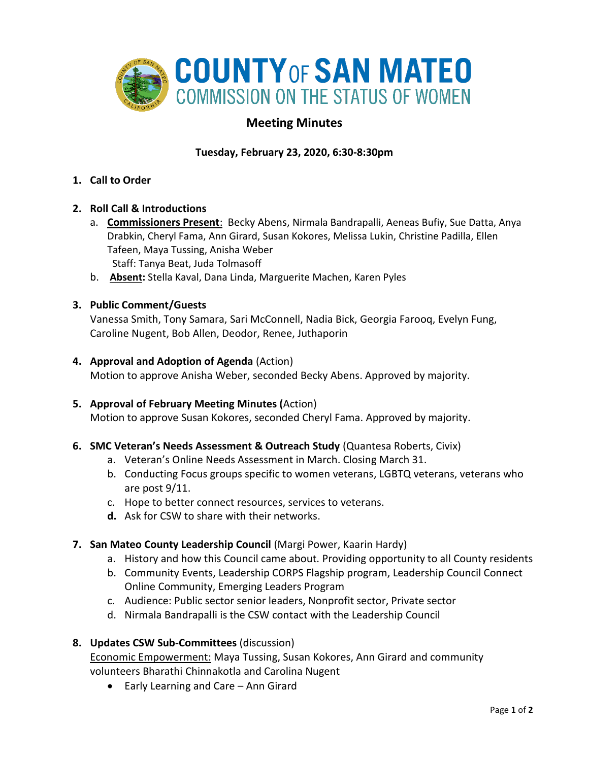

# **Meeting Minutes**

# **Tuesday, February 23, 2020, 6:30-8:30pm**

**1. Call to Order** 

#### **2. Roll Call & Introductions**

- a. **Commissioners Present**: Becky Abens, Nirmala Bandrapalli, Aeneas Bufiy, Sue Datta, Anya Drabkin, Cheryl Fama, Ann Girard, Susan Kokores, Melissa Lukin, Christine Padilla, Ellen Tafeen, Maya Tussing, Anisha Weber Staff: Tanya Beat, Juda Tolmasoff
- b. **Absent:** Stella Kaval, Dana Linda, Marguerite Machen, Karen Pyles

#### **3. Public Comment/Guests**

Vanessa Smith, Tony Samara, Sari McConnell, Nadia Bick, Georgia Farooq, Evelyn Fung, Caroline Nugent, Bob Allen, Deodor, Renee, Juthaporin

#### **4. Approval and Adoption of Agenda** (Action)

Motion to approve Anisha Weber, seconded Becky Abens. Approved by majority.

#### **5. Approval of February Meeting Minutes (**Action)

Motion to approve Susan Kokores, seconded Cheryl Fama. Approved by majority.

#### **6. SMC Veteran's Needs Assessment & Outreach Study** (Quantesa Roberts, Civix)

- a. Veteran's Online Needs Assessment in March. Closing March 31.
- b. Conducting Focus groups specific to women veterans, LGBTQ veterans, veterans who are post 9/11.
- c. Hope to better connect resources, services to veterans.
- **d.** Ask for CSW to share with their networks.

# **7. San Mateo County Leadership Council** (Margi Power, Kaarin Hardy)

- a. History and how this Council came about. Providing opportunity to all County residents
- b. Community Events, Leadership CORPS Flagship program, Leadership Council Connect Online Community, Emerging Leaders Program
- c. Audience: Public sector senior leaders, Nonprofit sector, Private sector
- d. Nirmala Bandrapalli is the CSW contact with the Leadership Council

# **8. Updates CSW Sub-Committees** (discussion)

Economic Empowerment: Maya Tussing, Susan Kokores, Ann Girard and community volunteers Bharathi Chinnakotla and Carolina Nugent

• Early Learning and Care – Ann Girard